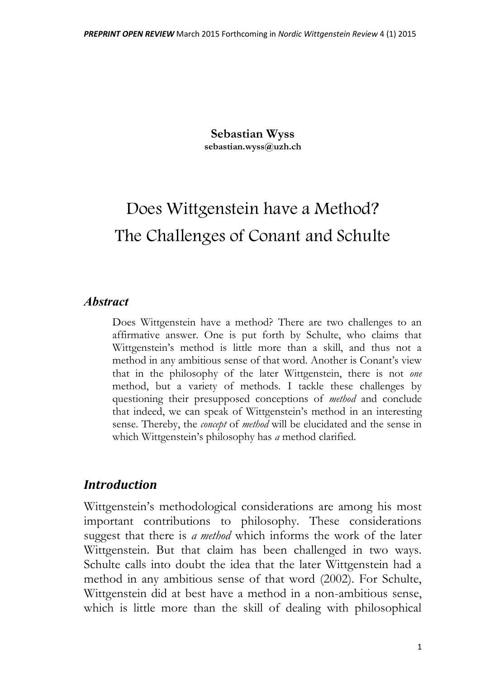**Sebastian Wyss sebastian.wyss@uzh.ch**

# Does Wittgenstein have a Method? The Challenges of Conant and Schulte

#### *Abstract*

Does Wittgenstein have a method? There are two challenges to an affirmative answer. One is put forth by Schulte, who claims that Wittgenstein's method is little more than a skill, and thus not a method in any ambitious sense of that word. Another is Conant's view that in the philosophy of the later Wittgenstein, there is not *one* method, but a variety of methods. I tackle these challenges by questioning their presupposed conceptions of *method* and conclude that indeed, we can speak of Wittgenstein's method in an interesting sense. Thereby, the *concept* of *method* will be elucidated and the sense in which Wittgenstein's philosophy has *a* method clarified.

#### *Introduction*

Wittgenstein's methodological considerations are among his most important contributions to philosophy. These considerations suggest that there is *a method* which informs the work of the later Wittgenstein. But that claim has been challenged in two ways. Schulte calls into doubt the idea that the later Wittgenstein had a method in any ambitious sense of that word (2002). For Schulte, Wittgenstein did at best have a method in a non-ambitious sense, which is little more than the skill of dealing with philosophical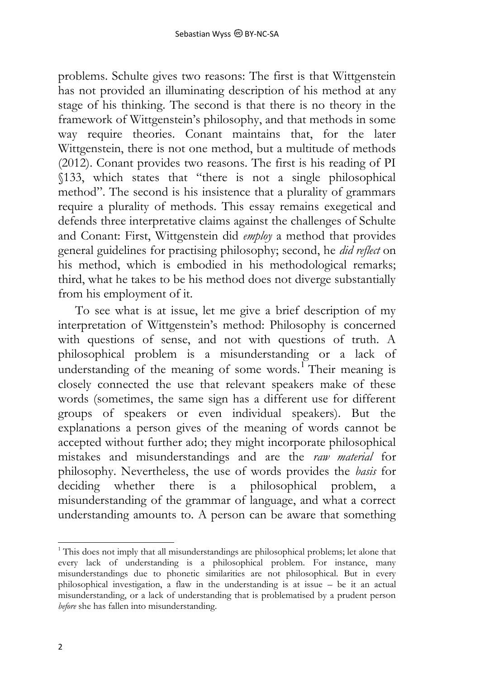problems. Schulte gives two reasons: The first is that Wittgenstein has not provided an illuminating description of his method at any stage of his thinking. The second is that there is no theory in the framework of Wittgenstein's philosophy, and that methods in some way require theories. Conant maintains that, for the later Wittgenstein, there is not one method, but a multitude of methods (2012). Conant provides two reasons. The first is his reading of PI §133, which states that "there is not a single philosophical method". The second is his insistence that a plurality of grammars require a plurality of methods. This essay remains exegetical and defends three interpretative claims against the challenges of Schulte and Conant: First, Wittgenstein did *employ* a method that provides general guidelines for practising philosophy; second, he *did reflect* on his method, which is embodied in his methodological remarks; third, what he takes to be his method does not diverge substantially from his employment of it.

To see what is at issue, let me give a brief description of my interpretation of Wittgenstein's method: Philosophy is concerned with questions of sense, and not with questions of truth. A philosophical problem is a misunderstanding or a lack of understanding of the meaning of some words.<sup>1</sup> Their meaning is closely connected the use that relevant speakers make of these words (sometimes, the same sign has a different use for different groups of speakers or even individual speakers). But the explanations a person gives of the meaning of words cannot be accepted without further ado; they might incorporate philosophical mistakes and misunderstandings and are the *raw material* for philosophy. Nevertheless, the use of words provides the *basis* for deciding whether there is a philosophical problem, a misunderstanding of the grammar of language, and what a correct understanding amounts to. A person can be aware that something

<sup>-</sup> $1$ <sup>1</sup> This does not imply that all misunderstandings are philosophical problems; let alone that every lack of understanding is a philosophical problem. For instance, many misunderstandings due to phonetic similarities are not philosophical. But in every philosophical investigation, a flaw in the understanding is at issue – be it an actual misunderstanding, or a lack of understanding that is problematised by a prudent person *before* she has fallen into misunderstanding.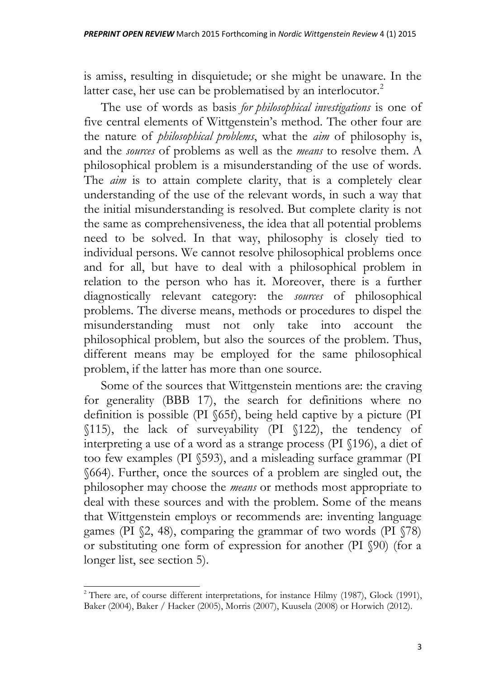is amiss, resulting in disquietude; or she might be unaware. In the latter case, her use can be problematised by an interlocutor.<sup>2</sup>

The use of words as basis *for philosophical investigations* is one of five central elements of Wittgenstein's method. The other four are the nature of *philosophical problems*, what the *aim* of philosophy is, and the *sources* of problems as well as the *means* to resolve them. A philosophical problem is a misunderstanding of the use of words. The *aim* is to attain complete clarity, that is a completely clear understanding of the use of the relevant words, in such a way that the initial misunderstanding is resolved. But complete clarity is not the same as comprehensiveness, the idea that all potential problems need to be solved. In that way, philosophy is closely tied to individual persons. We cannot resolve philosophical problems once and for all, but have to deal with a philosophical problem in relation to the person who has it. Moreover, there is a further diagnostically relevant category: the *sources* of philosophical problems. The diverse means, methods or procedures to dispel the misunderstanding must not only take into account the philosophical problem, but also the sources of the problem. Thus, different means may be employed for the same philosophical problem, if the latter has more than one source.

Some of the sources that Wittgenstein mentions are: the craving for generality (BBB 17), the search for definitions where no definition is possible (PI §65f), being held captive by a picture (PI §115), the lack of surveyability (PI §122), the tendency of interpreting a use of a word as a strange process (PI §196), a diet of too few examples (PI §593), and a misleading surface grammar (PI §664). Further, once the sources of a problem are singled out, the philosopher may choose the *means* or methods most appropriate to deal with these sources and with the problem. Some of the means that Wittgenstein employs or recommends are: inventing language games (PI §2, 48), comparing the grammar of two words (PI §78) or substituting one form of expression for another (PI §90) (for a longer list, see section 5).

 $\overline{a}$ 

 $2$  There are, of course different interpretations, for instance Hilmy (1987), Glock (1991), Baker (2004), Baker / Hacker (2005), Morris (2007), Kuusela (2008) or Horwich (2012).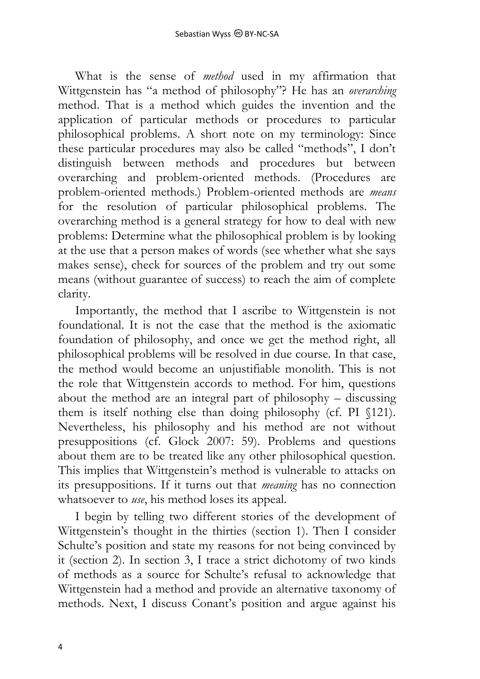What is the sense of *method* used in my affirmation that Wittgenstein has "a method of philosophy"? He has an *overarching* method. That is a method which guides the invention and the application of particular methods or procedures to particular philosophical problems. A short note on my terminology: Since these particular procedures may also be called "methods", I don't distinguish between methods and procedures but between overarching and problem-oriented methods. (Procedures are problem-oriented methods.) Problem-oriented methods are *means* for the resolution of particular philosophical problems. The overarching method is a general strategy for how to deal with new problems: Determine what the philosophical problem is by looking at the use that a person makes of words (see whether what she says makes sense), check for sources of the problem and try out some means (without guarantee of success) to reach the aim of complete clarity.

Importantly, the method that I ascribe to Wittgenstein is not foundational. It is not the case that the method is the axiomatic foundation of philosophy, and once we get the method right, all philosophical problems will be resolved in due course. In that case, the method would become an unjustifiable monolith. This is not the role that Wittgenstein accords to method. For him, questions about the method are an integral part of philosophy – discussing them is itself nothing else than doing philosophy (cf. PI §121). Nevertheless, his philosophy and his method are not without presuppositions (cf. Glock 2007: 59). Problems and questions about them are to be treated like any other philosophical question. This implies that Wittgenstein's method is vulnerable to attacks on its presuppositions. If it turns out that *meaning* has no connection whatsoever to *use*, his method loses its appeal.

I begin by telling two different stories of the development of Wittgenstein's thought in the thirties (section 1). Then I consider Schulte's position and state my reasons for not being convinced by it (section 2). In section 3, I trace a strict dichotomy of two kinds of methods as a source for Schulte's refusal to acknowledge that Wittgenstein had a method and provide an alternative taxonomy of methods. Next, I discuss Conant's position and argue against his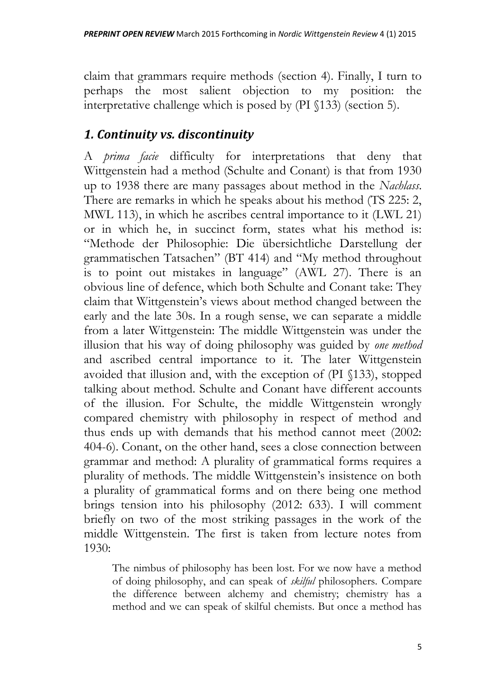claim that grammars require methods (section 4). Finally, I turn to perhaps the most salient objection to my position: the interpretative challenge which is posed by (PI §133) (section 5).

#### *1. Continuity vs. discontinuity*

A *prima facie* difficulty for interpretations that deny that Wittgenstein had a method (Schulte and Conant) is that from 1930 up to 1938 there are many passages about method in the *Nachlass*. There are remarks in which he speaks about his method (TS 225: 2, MWL 113), in which he ascribes central importance to it (LWL 21) or in which he, in succinct form, states what his method is: "Methode der Philosophie: Die übersichtliche Darstellung der grammatischen Tatsachen" (BT 414) and "My method throughout is to point out mistakes in language" (AWL 27). There is an obvious line of defence, which both Schulte and Conant take: They claim that Wittgenstein's views about method changed between the early and the late 30s. In a rough sense, we can separate a middle from a later Wittgenstein: The middle Wittgenstein was under the illusion that his way of doing philosophy was guided by *one method* and ascribed central importance to it. The later Wittgenstein avoided that illusion and, with the exception of (PI §133), stopped talking about method. Schulte and Conant have different accounts of the illusion. For Schulte, the middle Wittgenstein wrongly compared chemistry with philosophy in respect of method and thus ends up with demands that his method cannot meet (2002: 404-6). Conant, on the other hand, sees a close connection between grammar and method: A plurality of grammatical forms requires a plurality of methods. The middle Wittgenstein's insistence on both a plurality of grammatical forms and on there being one method brings tension into his philosophy (2012: 633). I will comment briefly on two of the most striking passages in the work of the middle Wittgenstein. The first is taken from lecture notes from 1930:

The nimbus of philosophy has been lost. For we now have a method of doing philosophy, and can speak of *skilful* philosophers. Compare the difference between alchemy and chemistry; chemistry has a method and we can speak of skilful chemists. But once a method has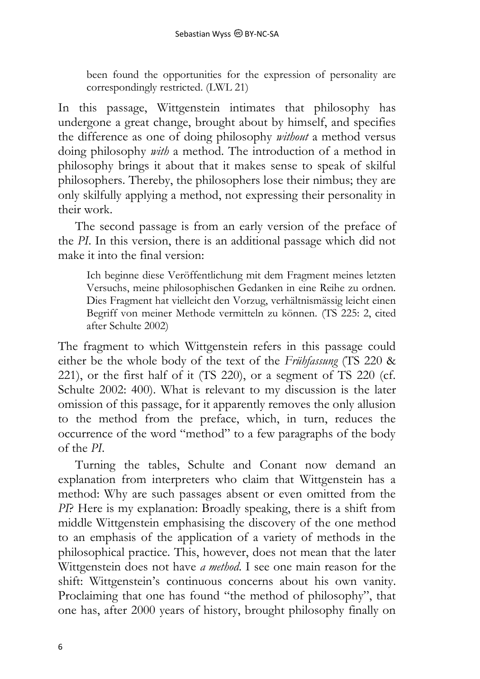been found the opportunities for the expression of personality are correspondingly restricted. (LWL 21)

In this passage, Wittgenstein intimates that philosophy has undergone a great change, brought about by himself, and specifies the difference as one of doing philosophy *without* a method versus doing philosophy *with* a method. The introduction of a method in philosophy brings it about that it makes sense to speak of skilful philosophers. Thereby, the philosophers lose their nimbus; they are only skilfully applying a method, not expressing their personality in their work.

The second passage is from an early version of the preface of the *PI*. In this version, there is an additional passage which did not make it into the final version:

Ich beginne diese Veröffentlichung mit dem Fragment meines letzten Versuchs, meine philosophischen Gedanken in eine Reihe zu ordnen. Dies Fragment hat vielleicht den Vorzug, verhältnismässig leicht einen Begriff von meiner Methode vermitteln zu können. (TS 225: 2, cited after Schulte 2002)

The fragment to which Wittgenstein refers in this passage could either be the whole body of the text of the *Frühfassung* (TS 220 & 221), or the first half of it (TS 220), or a segment of TS 220 (cf. Schulte 2002: 400). What is relevant to my discussion is the later omission of this passage, for it apparently removes the only allusion to the method from the preface, which, in turn, reduces the occurrence of the word "method" to a few paragraphs of the body of the *PI*.

Turning the tables, Schulte and Conant now demand an explanation from interpreters who claim that Wittgenstein has a method: Why are such passages absent or even omitted from the *PI*? Here is my explanation: Broadly speaking, there is a shift from middle Wittgenstein emphasising the discovery of the one method to an emphasis of the application of a variety of methods in the philosophical practice. This, however, does not mean that the later Wittgenstein does not have *a method*. I see one main reason for the shift: Wittgenstein's continuous concerns about his own vanity. Proclaiming that one has found "the method of philosophy", that one has, after 2000 years of history, brought philosophy finally on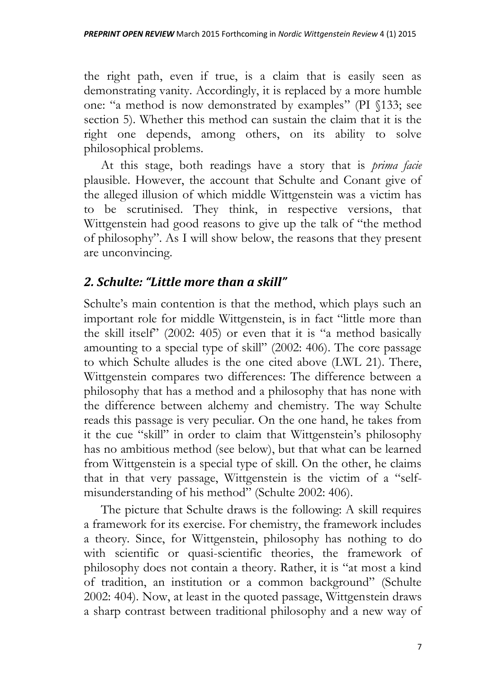the right path, even if true, is a claim that is easily seen as demonstrating vanity. Accordingly, it is replaced by a more humble one: "a method is now demonstrated by examples" (PI §133; see section 5). Whether this method can sustain the claim that it is the right one depends, among others, on its ability to solve philosophical problems.

At this stage, both readings have a story that is *prima facie* plausible. However, the account that Schulte and Conant give of the alleged illusion of which middle Wittgenstein was a victim has to be scrutinised. They think, in respective versions, that Wittgenstein had good reasons to give up the talk of "the method of philosophy". As I will show below, the reasons that they present are unconvincing.

#### *2. Schulte: "Little more than a skill"*

Schulte's main contention is that the method, which plays such an important role for middle Wittgenstein, is in fact "little more than the skill itself" (2002: 405) or even that it is "a method basically amounting to a special type of skill" (2002: 406). The core passage to which Schulte alludes is the one cited above (LWL 21). There, Wittgenstein compares two differences: The difference between a philosophy that has a method and a philosophy that has none with the difference between alchemy and chemistry. The way Schulte reads this passage is very peculiar. On the one hand, he takes from it the cue "skill" in order to claim that Wittgenstein's philosophy has no ambitious method (see below), but that what can be learned from Wittgenstein is a special type of skill. On the other, he claims that in that very passage, Wittgenstein is the victim of a "selfmisunderstanding of his method" (Schulte 2002: 406).

The picture that Schulte draws is the following: A skill requires a framework for its exercise. For chemistry, the framework includes a theory. Since, for Wittgenstein, philosophy has nothing to do with scientific or quasi-scientific theories, the framework of philosophy does not contain a theory. Rather, it is "at most a kind of tradition, an institution or a common background" (Schulte 2002: 404). Now, at least in the quoted passage, Wittgenstein draws a sharp contrast between traditional philosophy and a new way of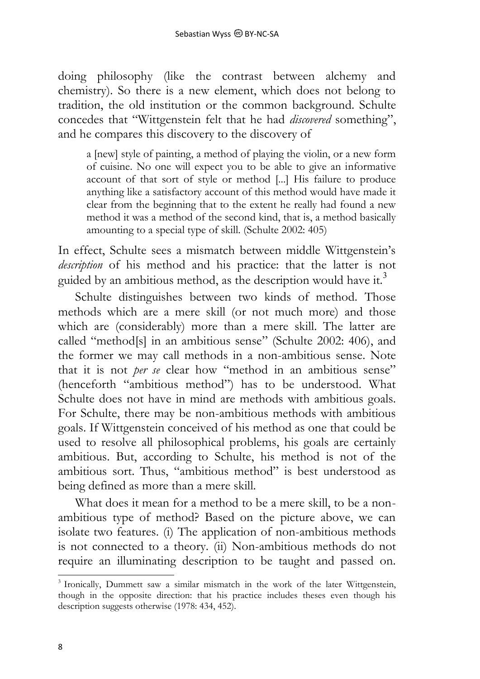doing philosophy (like the contrast between alchemy and chemistry). So there is a new element, which does not belong to tradition, the old institution or the common background. Schulte concedes that "Wittgenstein felt that he had *discovered* something", and he compares this discovery to the discovery of

a [new] style of painting, a method of playing the violin, or a new form of cuisine. No one will expect you to be able to give an informative account of that sort of style or method [...] His failure to produce anything like a satisfactory account of this method would have made it clear from the beginning that to the extent he really had found a new method it was a method of the second kind, that is, a method basically amounting to a special type of skill. (Schulte 2002: 405)

In effect, Schulte sees a mismatch between middle Wittgenstein's *description* of his method and his practice: that the latter is not guided by an ambitious method, as the description would have it.<sup>3</sup>

Schulte distinguishes between two kinds of method. Those methods which are a mere skill (or not much more) and those which are (considerably) more than a mere skill. The latter are called "method[s] in an ambitious sense" (Schulte 2002: 406), and the former we may call methods in a non-ambitious sense. Note that it is not *per se* clear how "method in an ambitious sense" (henceforth "ambitious method") has to be understood. What Schulte does not have in mind are methods with ambitious goals. For Schulte, there may be non-ambitious methods with ambitious goals. If Wittgenstein conceived of his method as one that could be used to resolve all philosophical problems, his goals are certainly ambitious. But, according to Schulte, his method is not of the ambitious sort. Thus, "ambitious method" is best understood as being defined as more than a mere skill.

What does it mean for a method to be a mere skill, to be a nonambitious type of method? Based on the picture above, we can isolate two features. (i) The application of non-ambitious methods is not connected to a theory. (ii) Non-ambitious methods do not require an illuminating description to be taught and passed on.

-

<sup>&</sup>lt;sup>3</sup> Ironically, Dummett saw a similar mismatch in the work of the later Wittgenstein, though in the opposite direction: that his practice includes theses even though his description suggests otherwise (1978: 434, 452).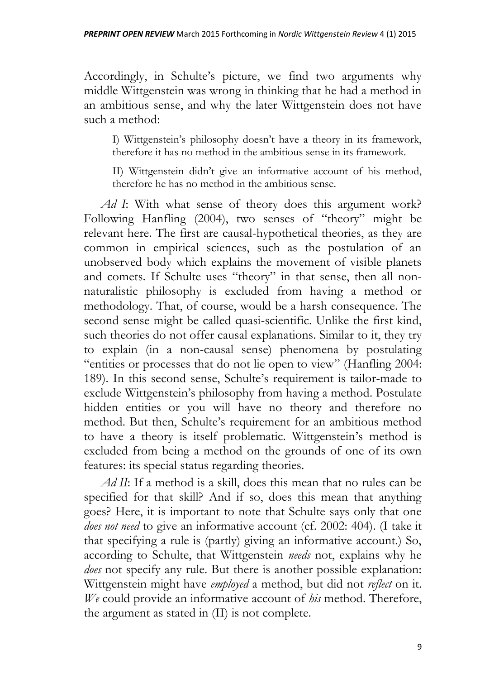Accordingly, in Schulte's picture, we find two arguments why middle Wittgenstein was wrong in thinking that he had a method in an ambitious sense, and why the later Wittgenstein does not have such a method:

I) Wittgenstein's philosophy doesn't have a theory in its framework, therefore it has no method in the ambitious sense in its framework.

II) Wittgenstein didn't give an informative account of his method, therefore he has no method in the ambitious sense.

*Ad I*: With what sense of theory does this argument work? Following Hanfling (2004), two senses of "theory" might be relevant here. The first are causal-hypothetical theories, as they are common in empirical sciences, such as the postulation of an unobserved body which explains the movement of visible planets and comets. If Schulte uses "theory" in that sense, then all nonnaturalistic philosophy is excluded from having a method or methodology. That, of course, would be a harsh consequence. The second sense might be called quasi-scientific. Unlike the first kind, such theories do not offer causal explanations. Similar to it, they try to explain (in a non-causal sense) phenomena by postulating "entities or processes that do not lie open to view" (Hanfling 2004: 189). In this second sense, Schulte's requirement is tailor-made to exclude Wittgenstein's philosophy from having a method. Postulate hidden entities or you will have no theory and therefore no method. But then, Schulte's requirement for an ambitious method to have a theory is itself problematic. Wittgenstein's method is excluded from being a method on the grounds of one of its own features: its special status regarding theories.

*Ad II*: If a method is a skill, does this mean that no rules can be specified for that skill? And if so, does this mean that anything goes? Here, it is important to note that Schulte says only that one *does not need* to give an informative account (cf. 2002: 404). (I take it that specifying a rule is (partly) giving an informative account.) So, according to Schulte, that Wittgenstein *needs* not, explains why he *does* not specify any rule. But there is another possible explanation: Wittgenstein might have *employed* a method, but did not *reflect* on it. *We* could provide an informative account of *his* method. Therefore, the argument as stated in (II) is not complete.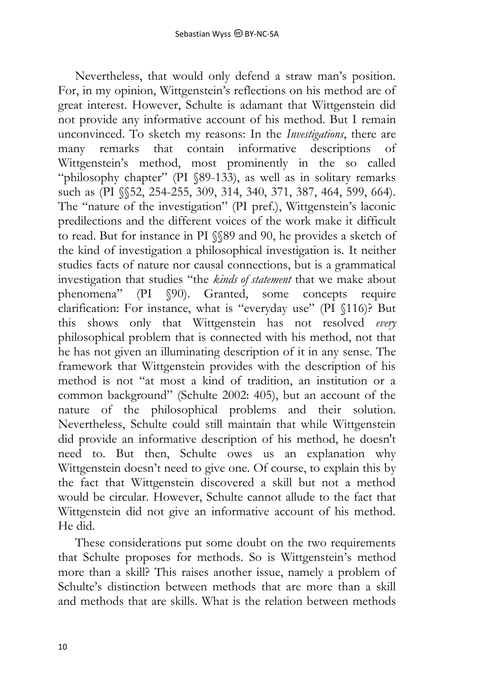Nevertheless, that would only defend a straw man's position. For, in my opinion, Wittgenstein's reflections on his method are of great interest. However, Schulte is adamant that Wittgenstein did not provide any informative account of his method. But I remain unconvinced. To sketch my reasons: In the *Investigations*, there are many remarks that contain informative descriptions of Wittgenstein's method, most prominently in the so called "philosophy chapter" (PI §89-133), as well as in solitary remarks such as (PI §§52, 254-255, 309, 314, 340, 371, 387, 464, 599, 664). The "nature of the investigation" (PI pref.), Wittgenstein's laconic predilections and the different voices of the work make it difficult to read. But for instance in PI §§89 and 90, he provides a sketch of the kind of investigation a philosophical investigation is. It neither studies facts of nature nor causal connections, but is a grammatical investigation that studies "the *kinds of statement* that we make about phenomena" (PI §90). Granted, some concepts require clarification: For instance, what is "everyday use" (PI §116)? But this shows only that Wittgenstein has not resolved *every* philosophical problem that is connected with his method, not that he has not given an illuminating description of it in any sense. The framework that Wittgenstein provides with the description of his method is not "at most a kind of tradition, an institution or a common background" (Schulte 2002: 405), but an account of the nature of the philosophical problems and their solution. Nevertheless, Schulte could still maintain that while Wittgenstein did provide an informative description of his method, he doesn't need to. But then, Schulte owes us an explanation why Wittgenstein doesn't need to give one. Of course, to explain this by the fact that Wittgenstein discovered a skill but not a method would be circular. However, Schulte cannot allude to the fact that Wittgenstein did not give an informative account of his method. He did.

These considerations put some doubt on the two requirements that Schulte proposes for methods. So is Wittgenstein's method more than a skill? This raises another issue, namely a problem of Schulte's distinction between methods that are more than a skill and methods that are skills. What is the relation between methods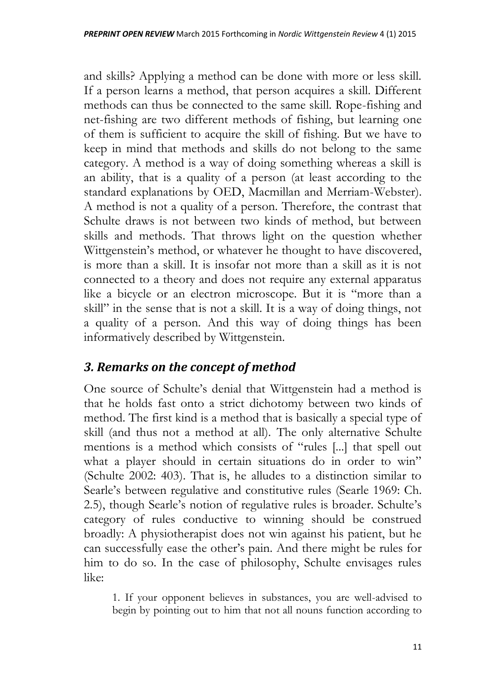and skills? Applying a method can be done with more or less skill. If a person learns a method, that person acquires a skill. Different methods can thus be connected to the same skill. Rope-fishing and net-fishing are two different methods of fishing, but learning one of them is sufficient to acquire the skill of fishing. But we have to keep in mind that methods and skills do not belong to the same category. A method is a way of doing something whereas a skill is an ability, that is a quality of a person (at least according to the standard explanations by OED, Macmillan and Merriam-Webster). A method is not a quality of a person. Therefore, the contrast that Schulte draws is not between two kinds of method, but between skills and methods. That throws light on the question whether Wittgenstein's method, or whatever he thought to have discovered, is more than a skill. It is insofar not more than a skill as it is not connected to a theory and does not require any external apparatus like a bicycle or an electron microscope. But it is "more than a skill" in the sense that is not a skill. It is a way of doing things, not a quality of a person. And this way of doing things has been informatively described by Wittgenstein.

## *3. Remarks on the concept of method*

One source of Schulte's denial that Wittgenstein had a method is that he holds fast onto a strict dichotomy between two kinds of method. The first kind is a method that is basically a special type of skill (and thus not a method at all). The only alternative Schulte mentions is a method which consists of "rules [...] that spell out what a player should in certain situations do in order to win" (Schulte 2002: 403). That is, he alludes to a distinction similar to Searle's between regulative and constitutive rules (Searle 1969: Ch. 2.5), though Searle's notion of regulative rules is broader. Schulte's category of rules conductive to winning should be construed broadly: A physiotherapist does not win against his patient, but he can successfully ease the other's pain. And there might be rules for him to do so. In the case of philosophy, Schulte envisages rules like:

1. If your opponent believes in substances, you are well-advised to begin by pointing out to him that not all nouns function according to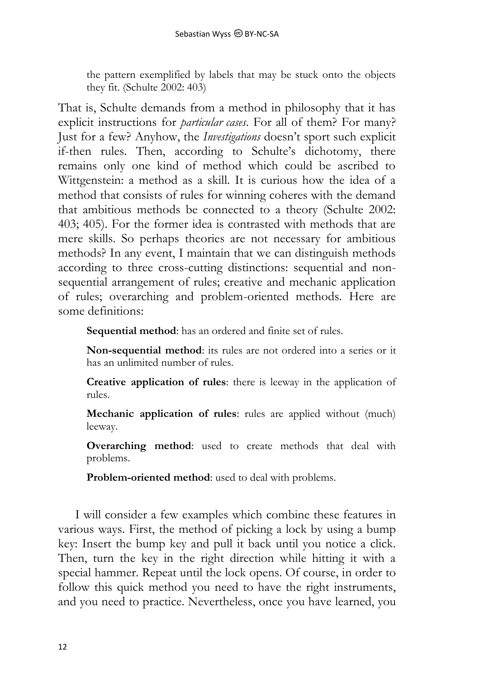the pattern exemplified by labels that may be stuck onto the objects they fit. (Schulte 2002: 403)

That is, Schulte demands from a method in philosophy that it has explicit instructions for *particular cases*. For all of them? For many? Just for a few? Anyhow, the *Investigations* doesn't sport such explicit if-then rules. Then, according to Schulte's dichotomy, there remains only one kind of method which could be ascribed to Wittgenstein: a method as a skill. It is curious how the idea of a method that consists of rules for winning coheres with the demand that ambitious methods be connected to a theory (Schulte 2002: 403; 405). For the former idea is contrasted with methods that are mere skills. So perhaps theories are not necessary for ambitious methods? In any event, I maintain that we can distinguish methods according to three cross-cutting distinctions: sequential and nonsequential arrangement of rules; creative and mechanic application of rules; overarching and problem-oriented methods. Here are some definitions:

**Sequential method**: has an ordered and finite set of rules.

**Non-sequential method**: its rules are not ordered into a series or it has an unlimited number of rules.

**Creative application of rules**: there is leeway in the application of rules.

**Mechanic application of rules**: rules are applied without (much) leeway.

**Overarching method**: used to create methods that deal with problems.

**Problem-oriented method**: used to deal with problems.

I will consider a few examples which combine these features in various ways. First, the method of picking a lock by using a bump key: Insert the bump key and pull it back until you notice a click. Then, turn the key in the right direction while hitting it with a special hammer. Repeat until the lock opens. Of course, in order to follow this quick method you need to have the right instruments, and you need to practice. Nevertheless, once you have learned, you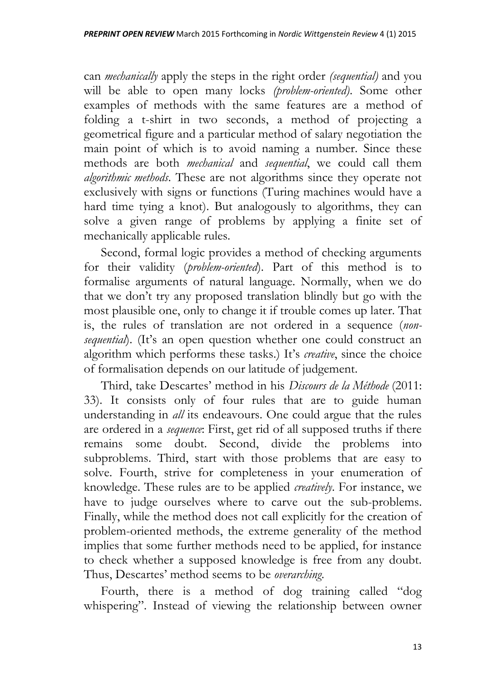can *mechanically* apply the steps in the right order *(sequential)* and you will be able to open many locks *(problem-oriented)*. Some other examples of methods with the same features are a method of folding a t-shirt in two seconds, a method of projecting a geometrical figure and a particular method of salary negotiation the main point of which is to avoid naming a number. Since these methods are both *mechanical* and *sequential*, we could call them *algorithmic methods*. These are not algorithms since they operate not exclusively with signs or functions (Turing machines would have a hard time tying a knot). But analogously to algorithms, they can solve a given range of problems by applying a finite set of mechanically applicable rules.

Second, formal logic provides a method of checking arguments for their validity (*problem-oriented*). Part of this method is to formalise arguments of natural language. Normally, when we do that we don't try any proposed translation blindly but go with the most plausible one, only to change it if trouble comes up later. That is, the rules of translation are not ordered in a sequence (*nonsequential*). (It's an open question whether one could construct an algorithm which performs these tasks.) It's *creative*, since the choice of formalisation depends on our latitude of judgement.

Third, take Descartes' method in his *Discours de la Méthode* (2011: 33). It consists only of four rules that are to guide human understanding in *all* its endeavours. One could argue that the rules are ordered in a *sequence*: First, get rid of all supposed truths if there remains some doubt. Second, divide the problems into subproblems. Third, start with those problems that are easy to solve. Fourth, strive for completeness in your enumeration of knowledge. These rules are to be applied *creatively*. For instance, we have to judge ourselves where to carve out the sub-problems. Finally, while the method does not call explicitly for the creation of problem-oriented methods, the extreme generality of the method implies that some further methods need to be applied, for instance to check whether a supposed knowledge is free from any doubt. Thus, Descartes' method seems to be *overarching*.

Fourth, there is a method of dog training called "dog whispering". Instead of viewing the relationship between owner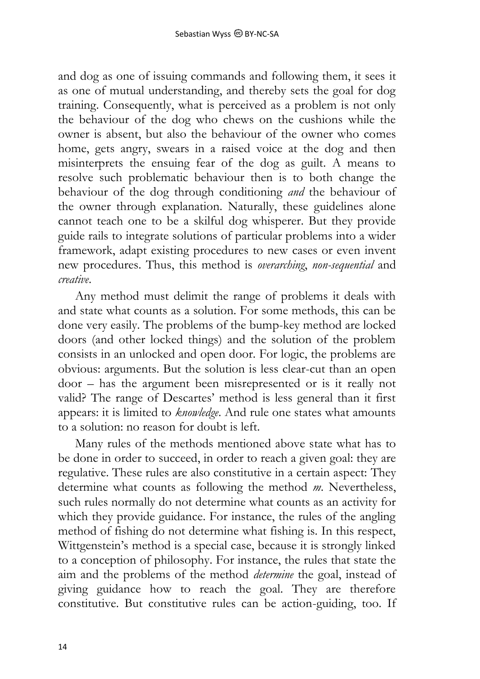and dog as one of issuing commands and following them, it sees it as one of mutual understanding, and thereby sets the goal for dog training. Consequently, what is perceived as a problem is not only the behaviour of the dog who chews on the cushions while the owner is absent, but also the behaviour of the owner who comes home, gets angry, swears in a raised voice at the dog and then misinterprets the ensuing fear of the dog as guilt. A means to resolve such problematic behaviour then is to both change the behaviour of the dog through conditioning *and* the behaviour of the owner through explanation. Naturally, these guidelines alone cannot teach one to be a skilful dog whisperer. But they provide guide rails to integrate solutions of particular problems into a wider framework, adapt existing procedures to new cases or even invent new procedures. Thus, this method is *overarching*, *non-sequential* and *creative*.

Any method must delimit the range of problems it deals with and state what counts as a solution. For some methods, this can be done very easily. The problems of the bump-key method are locked doors (and other locked things) and the solution of the problem consists in an unlocked and open door. For logic, the problems are obvious: arguments. But the solution is less clear-cut than an open door – has the argument been misrepresented or is it really not valid? The range of Descartes' method is less general than it first appears: it is limited to *knowledge*. And rule one states what amounts to a solution: no reason for doubt is left.

Many rules of the methods mentioned above state what has to be done in order to succeed, in order to reach a given goal: they are regulative. These rules are also constitutive in a certain aspect: They determine what counts as following the method *m*. Nevertheless, such rules normally do not determine what counts as an activity for which they provide guidance. For instance, the rules of the angling method of fishing do not determine what fishing is. In this respect, Wittgenstein's method is a special case, because it is strongly linked to a conception of philosophy. For instance, the rules that state the aim and the problems of the method *determine* the goal, instead of giving guidance how to reach the goal. They are therefore constitutive. But constitutive rules can be action-guiding, too. If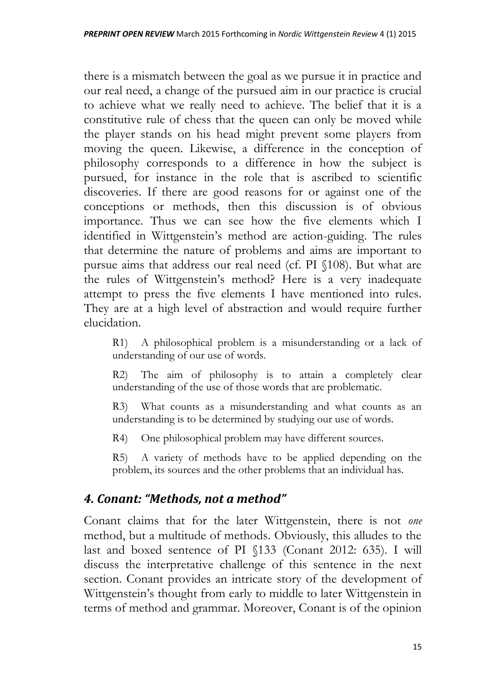there is a mismatch between the goal as we pursue it in practice and our real need, a change of the pursued aim in our practice is crucial to achieve what we really need to achieve. The belief that it is a constitutive rule of chess that the queen can only be moved while the player stands on his head might prevent some players from moving the queen. Likewise, a difference in the conception of philosophy corresponds to a difference in how the subject is pursued, for instance in the role that is ascribed to scientific discoveries. If there are good reasons for or against one of the conceptions or methods, then this discussion is of obvious importance. Thus we can see how the five elements which I identified in Wittgenstein's method are action-guiding. The rules that determine the nature of problems and aims are important to pursue aims that address our real need (cf. PI §108). But what are the rules of Wittgenstein's method? Here is a very inadequate attempt to press the five elements I have mentioned into rules. They are at a high level of abstraction and would require further elucidation.

R1) A philosophical problem is a misunderstanding or a lack of understanding of our use of words.

R2) The aim of philosophy is to attain a completely clear understanding of the use of those words that are problematic.

R3) What counts as a misunderstanding and what counts as an understanding is to be determined by studying our use of words.

R4) One philosophical problem may have different sources.

R5) A variety of methods have to be applied depending on the problem, its sources and the other problems that an individual has.

#### *4. Conant: "Methods, not a method"*

Conant claims that for the later Wittgenstein, there is not *one* method, but a multitude of methods. Obviously, this alludes to the last and boxed sentence of PI §133 (Conant 2012: 635). I will discuss the interpretative challenge of this sentence in the next section. Conant provides an intricate story of the development of Wittgenstein's thought from early to middle to later Wittgenstein in terms of method and grammar. Moreover, Conant is of the opinion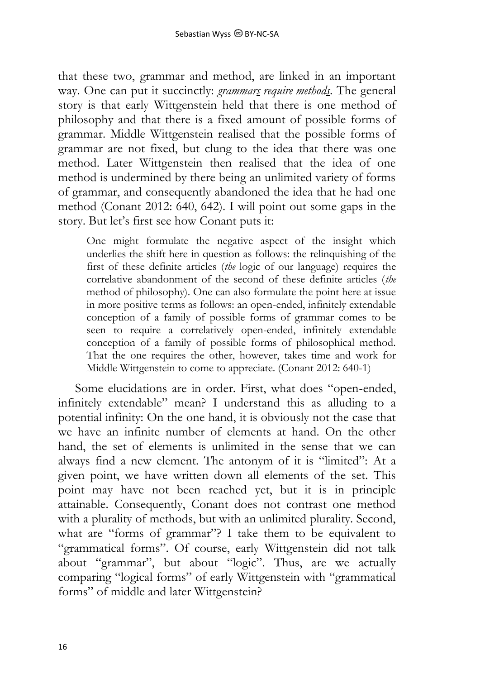that these two, grammar and method, are linked in an important way. One can put it succinctly: *grammars require methods*. The general story is that early Wittgenstein held that there is one method of philosophy and that there is a fixed amount of possible forms of grammar. Middle Wittgenstein realised that the possible forms of grammar are not fixed, but clung to the idea that there was one method. Later Wittgenstein then realised that the idea of one method is undermined by there being an unlimited variety of forms of grammar, and consequently abandoned the idea that he had one method (Conant 2012: 640, 642). I will point out some gaps in the story. But let's first see how Conant puts it:

One might formulate the negative aspect of the insight which underlies the shift here in question as follows: the relinquishing of the first of these definite articles (*the* logic of our language) requires the correlative abandonment of the second of these definite articles (*the* method of philosophy). One can also formulate the point here at issue in more positive terms as follows: an open-ended, infinitely extendable conception of a family of possible forms of grammar comes to be seen to require a correlatively open-ended, infinitely extendable conception of a family of possible forms of philosophical method. That the one requires the other, however, takes time and work for Middle Wittgenstein to come to appreciate. (Conant 2012: 640-1)

Some elucidations are in order. First, what does "open-ended, infinitely extendable" mean? I understand this as alluding to a potential infinity: On the one hand, it is obviously not the case that we have an infinite number of elements at hand. On the other hand, the set of elements is unlimited in the sense that we can always find a new element. The antonym of it is "limited": At a given point, we have written down all elements of the set. This point may have not been reached yet, but it is in principle attainable. Consequently, Conant does not contrast one method with a plurality of methods, but with an unlimited plurality. Second, what are "forms of grammar"? I take them to be equivalent to "grammatical forms". Of course, early Wittgenstein did not talk about "grammar", but about "logic". Thus, are we actually comparing "logical forms" of early Wittgenstein with "grammatical forms" of middle and later Wittgenstein?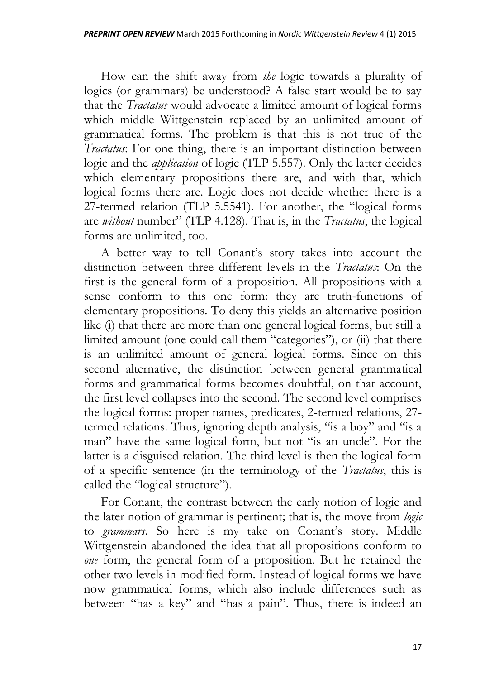How can the shift away from *the* logic towards a plurality of logics (or grammars) be understood? A false start would be to say that the *Tractatus* would advocate a limited amount of logical forms which middle Wittgenstein replaced by an unlimited amount of grammatical forms. The problem is that this is not true of the *Tractatus*: For one thing, there is an important distinction between logic and the *application* of logic (TLP 5.557). Only the latter decides which elementary propositions there are, and with that, which logical forms there are. Logic does not decide whether there is a 27-termed relation (TLP 5.5541). For another, the "logical forms are *without* number" (TLP 4.128). That is, in the *Tractatus*, the logical forms are unlimited, too.

A better way to tell Conant's story takes into account the distinction between three different levels in the *Tractatus*: On the first is the general form of a proposition. All propositions with a sense conform to this one form: they are truth-functions of elementary propositions. To deny this yields an alternative position like (i) that there are more than one general logical forms, but still a limited amount (one could call them "categories"), or (ii) that there is an unlimited amount of general logical forms. Since on this second alternative, the distinction between general grammatical forms and grammatical forms becomes doubtful, on that account, the first level collapses into the second. The second level comprises the logical forms: proper names, predicates, 2-termed relations, 27 termed relations. Thus, ignoring depth analysis, "is a boy" and "is a man" have the same logical form, but not "is an uncle". For the latter is a disguised relation. The third level is then the logical form of a specific sentence (in the terminology of the *Tractatus*, this is called the "logical structure").

For Conant, the contrast between the early notion of logic and the later notion of grammar is pertinent; that is, the move from *logic* to *grammars*. So here is my take on Conant's story. Middle Wittgenstein abandoned the idea that all propositions conform to *one* form, the general form of a proposition. But he retained the other two levels in modified form. Instead of logical forms we have now grammatical forms, which also include differences such as between "has a key" and "has a pain". Thus, there is indeed an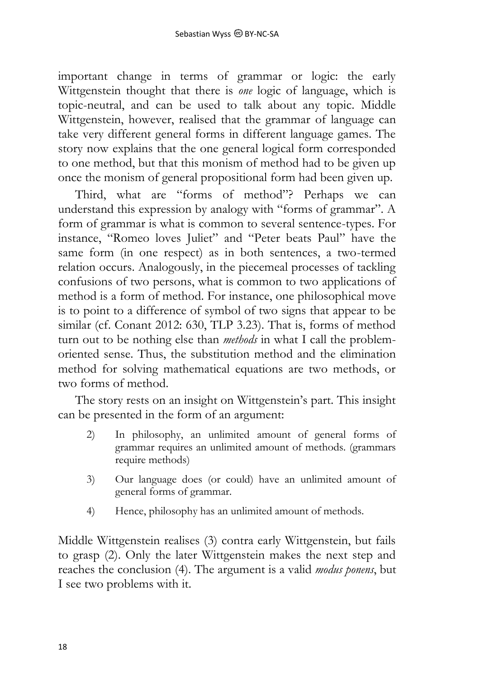important change in terms of grammar or logic: the early Wittgenstein thought that there is *one* logic of language, which is topic-neutral, and can be used to talk about any topic. Middle Wittgenstein, however, realised that the grammar of language can take very different general forms in different language games. The story now explains that the one general logical form corresponded to one method, but that this monism of method had to be given up once the monism of general propositional form had been given up.

Third, what are "forms of method"? Perhaps we can understand this expression by analogy with "forms of grammar". A form of grammar is what is common to several sentence-types. For instance, "Romeo loves Juliet" and "Peter beats Paul" have the same form (in one respect) as in both sentences, a two-termed relation occurs. Analogously, in the piecemeal processes of tackling confusions of two persons, what is common to two applications of method is a form of method. For instance, one philosophical move is to point to a difference of symbol of two signs that appear to be similar (cf. Conant 2012: 630, TLP 3.23). That is, forms of method turn out to be nothing else than *methods* in what I call the problemoriented sense. Thus, the substitution method and the elimination method for solving mathematical equations are two methods, or two forms of method.

The story rests on an insight on Wittgenstein's part. This insight can be presented in the form of an argument:

- 2) In philosophy, an unlimited amount of general forms of grammar requires an unlimited amount of methods. (grammars require methods)
- 3) Our language does (or could) have an unlimited amount of general forms of grammar.
- 4) Hence, philosophy has an unlimited amount of methods.

Middle Wittgenstein realises (3) contra early Wittgenstein, but fails to grasp (2). Only the later Wittgenstein makes the next step and reaches the conclusion (4). The argument is a valid *modus ponens*, but I see two problems with it.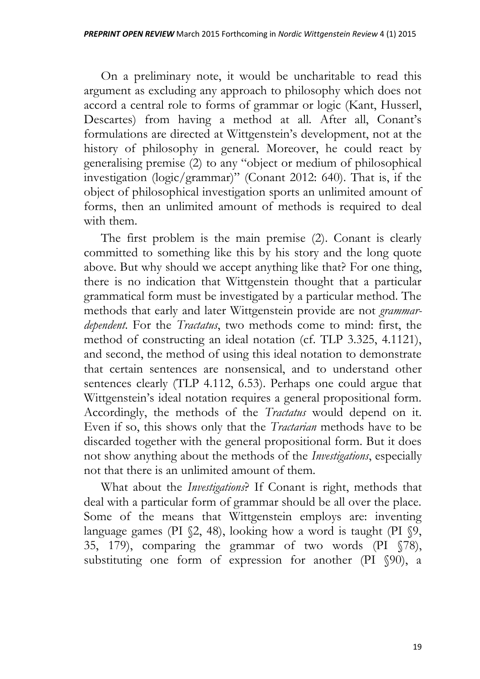On a preliminary note, it would be uncharitable to read this argument as excluding any approach to philosophy which does not accord a central role to forms of grammar or logic (Kant, Husserl, Descartes) from having a method at all. After all, Conant's formulations are directed at Wittgenstein's development, not at the history of philosophy in general. Moreover, he could react by generalising premise (2) to any "object or medium of philosophical investigation (logic/grammar)" (Conant 2012: 640). That is, if the object of philosophical investigation sports an unlimited amount of forms, then an unlimited amount of methods is required to deal with them.

The first problem is the main premise (2). Conant is clearly committed to something like this by his story and the long quote above. But why should we accept anything like that? For one thing, there is no indication that Wittgenstein thought that a particular grammatical form must be investigated by a particular method. The methods that early and later Wittgenstein provide are not *grammardependent*. For the *Tractatus*, two methods come to mind: first, the method of constructing an ideal notation (cf. TLP 3.325, 4.1121), and second, the method of using this ideal notation to demonstrate that certain sentences are nonsensical, and to understand other sentences clearly (TLP 4.112, 6.53). Perhaps one could argue that Wittgenstein's ideal notation requires a general propositional form. Accordingly, the methods of the *Tractatus* would depend on it. Even if so, this shows only that the *Tractarian* methods have to be discarded together with the general propositional form. But it does not show anything about the methods of the *Investigations*, especially not that there is an unlimited amount of them.

What about the *Investigations*? If Conant is right, methods that deal with a particular form of grammar should be all over the place. Some of the means that Wittgenstein employs are: inventing language games (PI §2, 48), looking how a word is taught (PI §9, 35, 179), comparing the grammar of two words (PI §78), substituting one form of expression for another (PI §90), a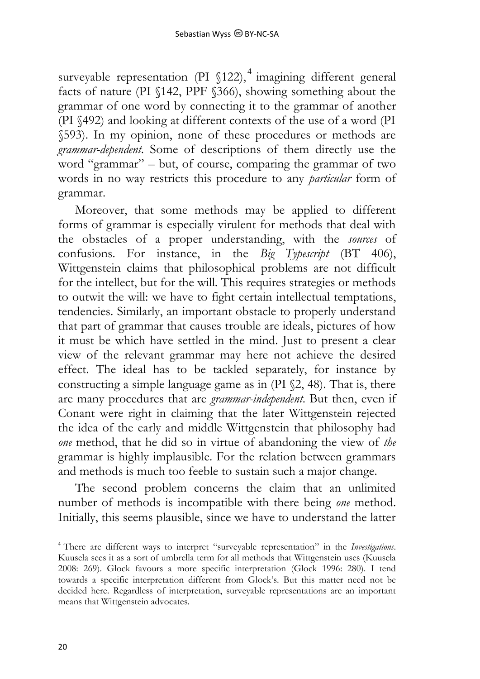surveyable representation (PI §122),<sup>4</sup> imagining different general facts of nature (PI §142, PPF §366), showing something about the grammar of one word by connecting it to the grammar of another (PI §492) and looking at different contexts of the use of a word (PI §593). In my opinion, none of these procedures or methods are *grammar-dependent*. Some of descriptions of them directly use the word "grammar" – but, of course, comparing the grammar of two words in no way restricts this procedure to any *particular* form of grammar.

Moreover, that some methods may be applied to different forms of grammar is especially virulent for methods that deal with the obstacles of a proper understanding, with the *sources* of confusions. For instance, in the *Big Typescript* (BT 406), Wittgenstein claims that philosophical problems are not difficult for the intellect, but for the will. This requires strategies or methods to outwit the will: we have to fight certain intellectual temptations, tendencies. Similarly, an important obstacle to properly understand that part of grammar that causes trouble are ideals, pictures of how it must be which have settled in the mind. Just to present a clear view of the relevant grammar may here not achieve the desired effect. The ideal has to be tackled separately, for instance by constructing a simple language game as in (PI §2, 48). That is, there are many procedures that are *grammar-independent*. But then, even if Conant were right in claiming that the later Wittgenstein rejected the idea of the early and middle Wittgenstein that philosophy had *one* method, that he did so in virtue of abandoning the view of *the* grammar is highly implausible. For the relation between grammars and methods is much too feeble to sustain such a major change.

The second problem concerns the claim that an unlimited number of methods is incompatible with there being *one* method. Initially, this seems plausible, since we have to understand the latter

-

<sup>4</sup> There are different ways to interpret "surveyable representation" in the *Investigations*. Kuusela sees it as a sort of umbrella term for all methods that Wittgenstein uses (Kuusela 2008: 269). Glock favours a more specific interpretation (Glock 1996: 280). I tend towards a specific interpretation different from Glock's. But this matter need not be decided here. Regardless of interpretation, surveyable representations are an important means that Wittgenstein advocates.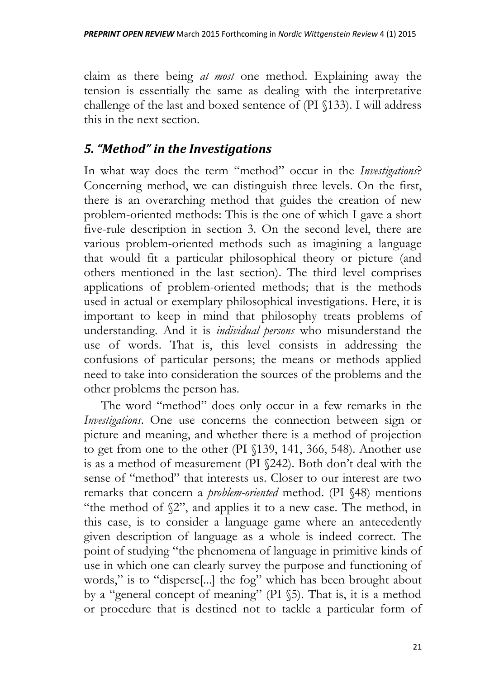claim as there being *at most* one method. Explaining away the tension is essentially the same as dealing with the interpretative challenge of the last and boxed sentence of (PI §133). I will address this in the next section.

### *5. "Method" in the Investigations*

In what way does the term "method" occur in the *Investigations*? Concerning method, we can distinguish three levels. On the first, there is an overarching method that guides the creation of new problem-oriented methods: This is the one of which I gave a short five-rule description in section 3. On the second level, there are various problem-oriented methods such as imagining a language that would fit a particular philosophical theory or picture (and others mentioned in the last section). The third level comprises applications of problem-oriented methods; that is the methods used in actual or exemplary philosophical investigations. Here, it is important to keep in mind that philosophy treats problems of understanding. And it is *individual persons* who misunderstand the use of words. That is, this level consists in addressing the confusions of particular persons; the means or methods applied need to take into consideration the sources of the problems and the other problems the person has.

The word "method" does only occur in a few remarks in the *Investigations*. One use concerns the connection between sign or picture and meaning, and whether there is a method of projection to get from one to the other (PI §139, 141, 366, 548). Another use is as a method of measurement (PI §242). Both don't deal with the sense of "method" that interests us. Closer to our interest are two remarks that concern a *problem-oriented* method. (PI §48) mentions "the method of §2", and applies it to a new case. The method, in this case, is to consider a language game where an antecedently given description of language as a whole is indeed correct. The point of studying "the phenomena of language in primitive kinds of use in which one can clearly survey the purpose and functioning of words," is to "disperse[...] the fog" which has been brought about by a "general concept of meaning" (PI §5). That is, it is a method or procedure that is destined not to tackle a particular form of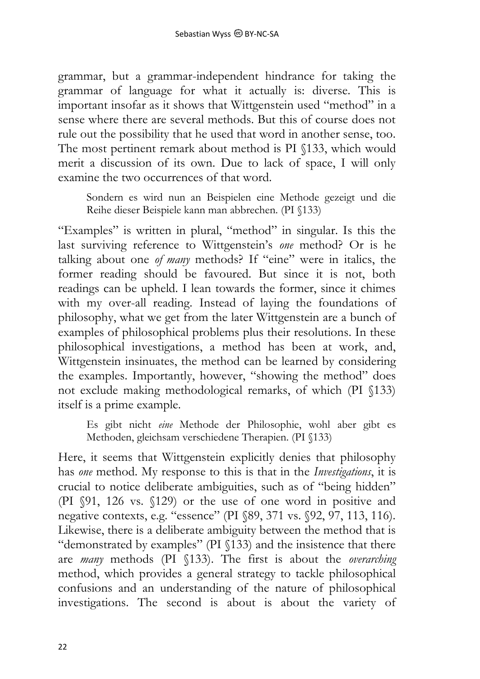grammar, but a grammar-independent hindrance for taking the grammar of language for what it actually is: diverse. This is important insofar as it shows that Wittgenstein used "method" in a sense where there are several methods. But this of course does not rule out the possibility that he used that word in another sense, too. The most pertinent remark about method is PI §133, which would merit a discussion of its own. Due to lack of space, I will only examine the two occurrences of that word.

Sondern es wird nun an Beispielen eine Methode gezeigt und die Reihe dieser Beispiele kann man abbrechen. (PI §133)

"Examples" is written in plural, "method" in singular. Is this the last surviving reference to Wittgenstein's *one* method? Or is he talking about one *of many* methods? If "eine" were in italics, the former reading should be favoured. But since it is not, both readings can be upheld. I lean towards the former, since it chimes with my over-all reading. Instead of laying the foundations of philosophy, what we get from the later Wittgenstein are a bunch of examples of philosophical problems plus their resolutions. In these philosophical investigations, a method has been at work, and, Wittgenstein insinuates, the method can be learned by considering the examples. Importantly, however, "showing the method" does not exclude making methodological remarks, of which (PI §133) itself is a prime example.

Es gibt nicht *eine* Methode der Philosophie, wohl aber gibt es Methoden, gleichsam verschiedene Therapien. (PI §133)

Here, it seems that Wittgenstein explicitly denies that philosophy has *one* method. My response to this is that in the *Investigations*, it is crucial to notice deliberate ambiguities, such as of "being hidden" (PI §91, 126 vs. §129) or the use of one word in positive and negative contexts, e.g. "essence" (PI §89, 371 vs. §92, 97, 113, 116). Likewise, there is a deliberate ambiguity between the method that is "demonstrated by examples" (PI §133) and the insistence that there are *many* methods (PI §133). The first is about the *overarching* method, which provides a general strategy to tackle philosophical confusions and an understanding of the nature of philosophical investigations. The second is about is about the variety of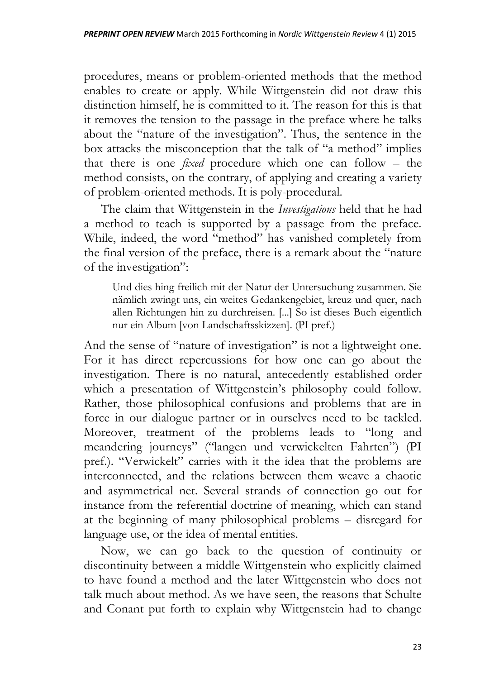procedures, means or problem-oriented methods that the method enables to create or apply. While Wittgenstein did not draw this distinction himself, he is committed to it. The reason for this is that it removes the tension to the passage in the preface where he talks about the "nature of the investigation". Thus, the sentence in the box attacks the misconception that the talk of "a method" implies that there is one *fixed* procedure which one can follow – the method consists, on the contrary, of applying and creating a variety of problem-oriented methods. It is poly-procedural.

The claim that Wittgenstein in the *Investigations* held that he had a method to teach is supported by a passage from the preface. While, indeed, the word "method" has vanished completely from the final version of the preface, there is a remark about the "nature of the investigation":

Und dies hing freilich mit der Natur der Untersuchung zusammen. Sie nämlich zwingt uns, ein weites Gedankengebiet, kreuz und quer, nach allen Richtungen hin zu durchreisen. [...] So ist dieses Buch eigentlich nur ein Album [von Landschaftsskizzen]. (PI pref.)

And the sense of "nature of investigation" is not a lightweight one. For it has direct repercussions for how one can go about the investigation. There is no natural, antecedently established order which a presentation of Wittgenstein's philosophy could follow. Rather, those philosophical confusions and problems that are in force in our dialogue partner or in ourselves need to be tackled. Moreover, treatment of the problems leads to "long and meandering journeys" ("langen und verwickelten Fahrten") (PI pref.). "Verwickelt" carries with it the idea that the problems are interconnected, and the relations between them weave a chaotic and asymmetrical net. Several strands of connection go out for instance from the referential doctrine of meaning, which can stand at the beginning of many philosophical problems – disregard for language use, or the idea of mental entities.

Now, we can go back to the question of continuity or discontinuity between a middle Wittgenstein who explicitly claimed to have found a method and the later Wittgenstein who does not talk much about method. As we have seen, the reasons that Schulte and Conant put forth to explain why Wittgenstein had to change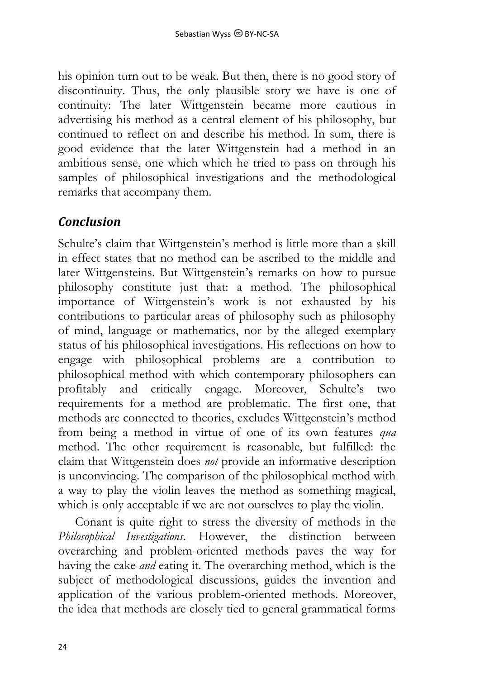his opinion turn out to be weak. But then, there is no good story of discontinuity. Thus, the only plausible story we have is one of continuity: The later Wittgenstein became more cautious in advertising his method as a central element of his philosophy, but continued to reflect on and describe his method. In sum, there is good evidence that the later Wittgenstein had a method in an ambitious sense, one which which he tried to pass on through his samples of philosophical investigations and the methodological remarks that accompany them.

#### *Conclusion*

Schulte's claim that Wittgenstein's method is little more than a skill in effect states that no method can be ascribed to the middle and later Wittgensteins. But Wittgenstein's remarks on how to pursue philosophy constitute just that: a method. The philosophical importance of Wittgenstein's work is not exhausted by his contributions to particular areas of philosophy such as philosophy of mind, language or mathematics, nor by the alleged exemplary status of his philosophical investigations. His reflections on how to engage with philosophical problems are a contribution to philosophical method with which contemporary philosophers can profitably and critically engage. Moreover, Schulte's two requirements for a method are problematic. The first one, that methods are connected to theories, excludes Wittgenstein's method from being a method in virtue of one of its own features *qua* method. The other requirement is reasonable, but fulfilled: the claim that Wittgenstein does *not* provide an informative description is unconvincing. The comparison of the philosophical method with a way to play the violin leaves the method as something magical, which is only acceptable if we are not ourselves to play the violin.

Conant is quite right to stress the diversity of methods in the *Philosophical Investigations*. However, the distinction between overarching and problem-oriented methods paves the way for having the cake *and* eating it. The overarching method, which is the subject of methodological discussions, guides the invention and application of the various problem-oriented methods. Moreover, the idea that methods are closely tied to general grammatical forms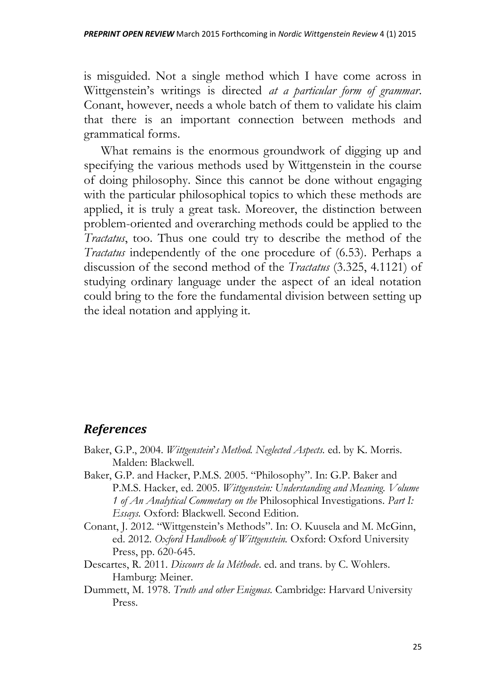is misguided. Not a single method which I have come across in Wittgenstein's writings is directed *at a particular form of grammar*. Conant, however, needs a whole batch of them to validate his claim that there is an important connection between methods and grammatical forms.

What remains is the enormous groundwork of digging up and specifying the various methods used by Wittgenstein in the course of doing philosophy. Since this cannot be done without engaging with the particular philosophical topics to which these methods are applied, it is truly a great task. Moreover, the distinction between problem-oriented and overarching methods could be applied to the *Tractatus*, too. Thus one could try to describe the method of the *Tractatus* independently of the one procedure of (6.53). Perhaps a discussion of the second method of the *Tractatus* (3.325, 4.1121) of studying ordinary language under the aspect of an ideal notation could bring to the fore the fundamental division between setting up the ideal notation and applying it.

#### *References*

- Baker, G.P., 2004. *Wittgenstein*'*s Method. Neglected Aspects.* ed. by K. Morris. Malden: Blackwell.
- Baker, G.P. and Hacker, P.M.S. 2005. "Philosophy". In: G.P. Baker and P.M.S. Hacker, ed. 2005. *Wittgenstein: Understanding and Meaning. Volume 1 of An Analytical Commetary on the* Philosophical Investigations. *Part I: Essays.* Oxford: Blackwell. Second Edition.
- Conant, J. 2012. "Wittgenstein's Methods". In: O. Kuusela and M. McGinn, ed. 2012. *Oxford Handbook of Wittgenstein.* Oxford: Oxford University Press, pp. 620-645.
- Descartes, R. 2011. *Discours de la Méthode*. ed. and trans. by C. Wohlers. Hamburg: Meiner.
- Dummett, M. 1978. *Truth and other Enigmas.* Cambridge: Harvard University Press.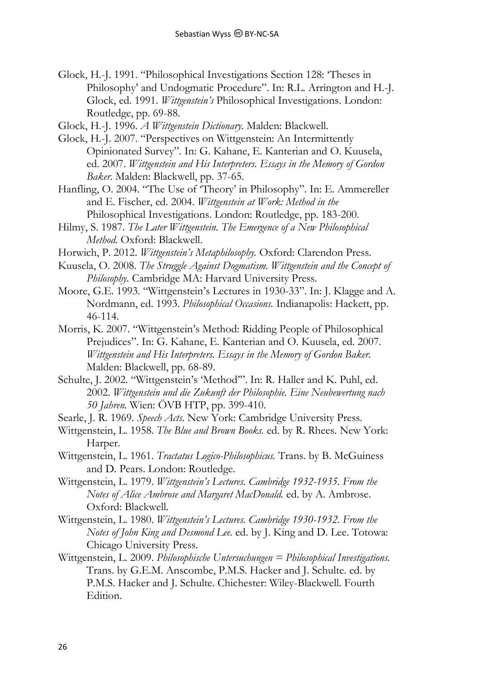Glock, H.-J. 1991. "Philosophical Investigations Section 128: 'Theses in Philosophy' and Undogmatic Procedure". In: R.L. Arrington and H.-J. Glock, ed. 1991. *Wittgenstein's* Philosophical Investigations. London: Routledge, pp. 69-88.

Glock, H.-J. 1996. *A Wittgenstein Dictionary.* Malden: Blackwell.

- Glock, H.-J. 2007. "Perspectives on Wittgenstein: An Intermittently Opinionated Survey". In: G. Kahane, E. Kanterian and O. Kuusela, ed. 2007. *Wittgenstein and His Interpreters. Essays in the Memory of Gordon Baker.* Malden: Blackwell, pp. 37-65.
- Hanfling, O. 2004. "The Use of 'Theory' in Philosophy". In: E. Ammereller and E. Fischer, ed. 2004. *Wittgenstein at Work: Method in the*  Philosophical Investigations*.* London: Routledge, pp. 183-200.
- Hilmy, S. 1987. *The Later Wittgenstein. The Emergence of a New Philosophical Method.* Oxford: Blackwell.
- Horwich, P. 2012. *Wittgenstein's Metaphilosophy.* Oxford: Clarendon Press.
- Kuusela, O. 2008. *The Struggle Against Dogmatism. Wittgenstein and the Concept of Philosophy.* Cambridge MA: Harvard University Press.
- Moore, G.E. 1993. "Wittgenstein's Lectures in 1930-33". In: J. Klagge and A. Nordmann, ed. 1993. *Philosophical Occasions.* Indianapolis: Hackett, pp. 46-114.
- Morris, K. 2007. "Wittgenstein's Method: Ridding People of Philosophical Prejudices". In: G. Kahane, E. Kanterian and O. Kuusela, ed. 2007. *Wittgenstein and His Interpreters. Essays in the Memory of Gordon Baker.* Malden: Blackwell, pp. 68-89.
- Schulte, J. 2002. "Wittgenstein's 'Method'". In: R. Haller and K. Puhl, ed. 2002. *Wittgenstein und die Zukunft der Philosophie. Eine Neubewertung nach 50 Jahren.* Wien: ÖVB HTP, pp. 399-410.
- Searle, J. R. 1969. *Speech Acts*. New York: Cambridge University Press.
- Wittgenstein, L. 1958. *The Blue and Brown Books.* ed. by R. Rhees. New York: Harper.
- Wittgenstein, L. 1961. *Tractatus Logico-Philosophicus.* Trans. by B. McGuiness and D. Pears. London: Routledge.
- Wittgenstein, L. 1979. *Wittgenstein's Lectures. Cambridge 1932-1935. From the Notes of Alice Ambrose and Margaret MacDonald.* ed. by A. Ambrose. Oxford: Blackwell.
- Wittgenstein, L. 1980. *Wittgenstein's Lectures. Cambridge 1930-1932. From the Notes of John King and Desmond Lee.* ed. by J. King and D. Lee. Totowa: Chicago University Press.
- Wittgenstein, L. 2009. *Philosophische Untersuchungen = Philosophical Investigations.* Trans. by G.E.M. Anscombe, P.M.S. Hacker and J. Schulte. ed. by P.M.S. Hacker and J. Schulte. Chichester: Wiley-Blackwell. Fourth Edition.